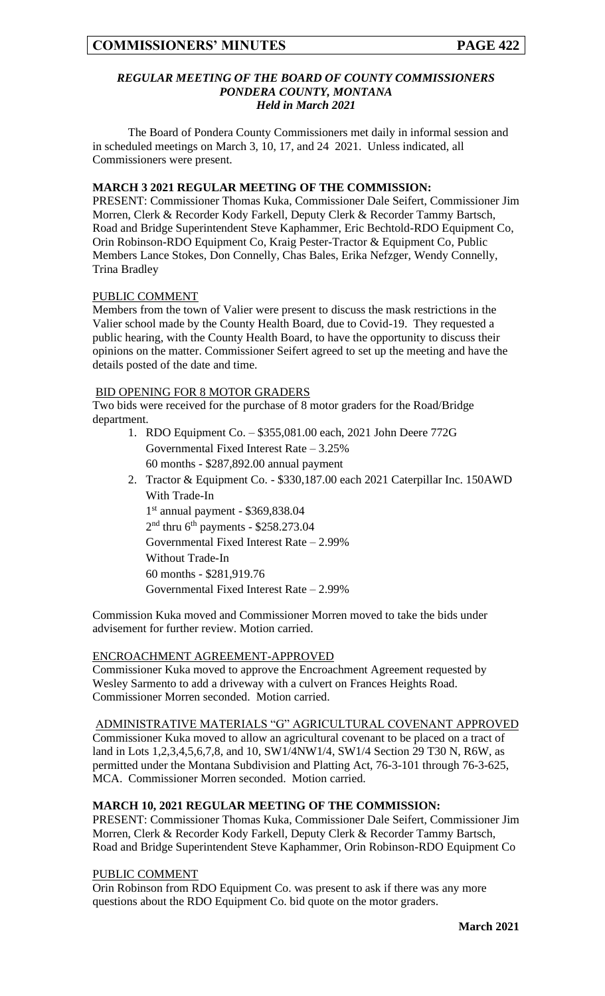### *REGULAR MEETING OF THE BOARD OF COUNTY COMMISSIONERS PONDERA COUNTY, MONTANA Held in March 2021*

The Board of Pondera County Commissioners met daily in informal session and in scheduled meetings on March 3, 10, 17, and 24 2021. Unless indicated, all Commissioners were present.

## **MARCH 3 2021 REGULAR MEETING OF THE COMMISSION:**

PRESENT: Commissioner Thomas Kuka, Commissioner Dale Seifert, Commissioner Jim Morren, Clerk & Recorder Kody Farkell, Deputy Clerk & Recorder Tammy Bartsch, Road and Bridge Superintendent Steve Kaphammer, Eric Bechtold-RDO Equipment Co, Orin Robinson-RDO Equipment Co, Kraig Pester-Tractor & Equipment Co, Public Members Lance Stokes, Don Connelly, Chas Bales, Erika Nefzger, Wendy Connelly, Trina Bradley

### PUBLIC COMMENT

Members from the town of Valier were present to discuss the mask restrictions in the Valier school made by the County Health Board, due to Covid-19. They requested a public hearing, with the County Health Board, to have the opportunity to discuss their opinions on the matter. Commissioner Seifert agreed to set up the meeting and have the details posted of the date and time.

### BID OPENING FOR 8 MOTOR GRADERS

Two bids were received for the purchase of 8 motor graders for the Road/Bridge department.

- 1. RDO Equipment Co. \$355,081.00 each, 2021 John Deere 772G Governmental Fixed Interest Rate – 3.25% 60 months - \$287,892.00 annual payment
- 2. Tractor & Equipment Co. \$330,187.00 each 2021 Caterpillar Inc. 150AWD With Trade-In

1 st annual payment - \$369,838.04  $2<sup>nd</sup>$  thru 6<sup>th</sup> payments - \$258.273.04 Governmental Fixed Interest Rate – 2.99% Without Trade-In 60 months - \$281,919.76 Governmental Fixed Interest Rate – 2.99%

Commission Kuka moved and Commissioner Morren moved to take the bids under advisement for further review. Motion carried.

### ENCROACHMENT AGREEMENT-APPROVED

Commissioner Kuka moved to approve the Encroachment Agreement requested by Wesley Sarmento to add a driveway with a culvert on Frances Heights Road. Commissioner Morren seconded. Motion carried.

### ADMINISTRATIVE MATERIALS "G" AGRICULTURAL COVENANT APPROVED

Commissioner Kuka moved to allow an agricultural covenant to be placed on a tract of land in Lots 1,2,3,4,5,6,7,8, and 10, SW1/4NW1/4, SW1/4 Section 29 T30 N, R6W, as permitted under the Montana Subdivision and Platting Act, 76-3-101 through 76-3-625, MCA. Commissioner Morren seconded. Motion carried.

### **MARCH 10, 2021 REGULAR MEETING OF THE COMMISSION:**

PRESENT: Commissioner Thomas Kuka, Commissioner Dale Seifert, Commissioner Jim Morren, Clerk & Recorder Kody Farkell, Deputy Clerk & Recorder Tammy Bartsch, Road and Bridge Superintendent Steve Kaphammer, Orin Robinson-RDO Equipment Co

#### PUBLIC COMMENT

Orin Robinson from RDO Equipment Co. was present to ask if there was any more questions about the RDO Equipment Co. bid quote on the motor graders.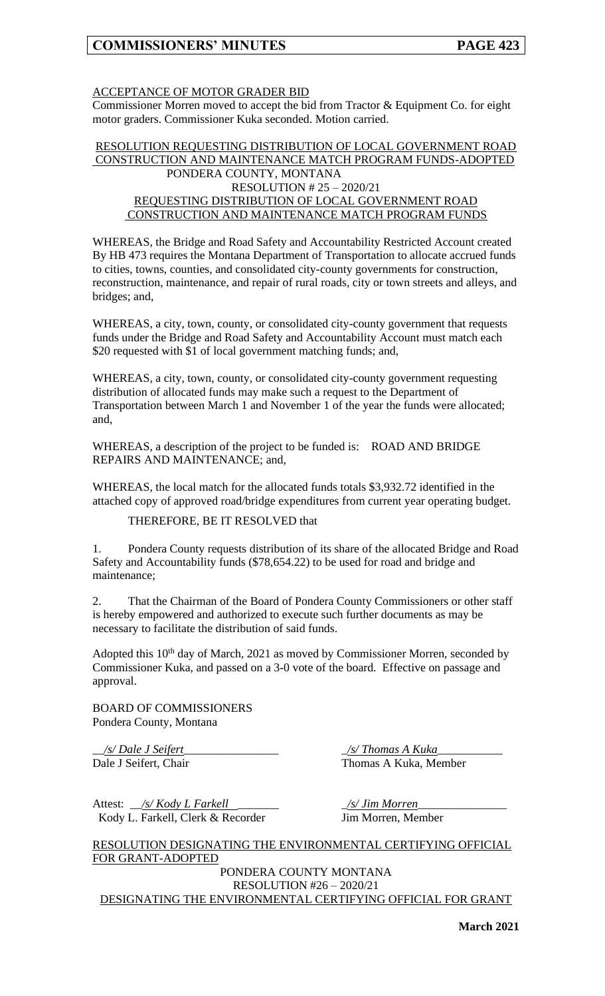## ACCEPTANCE OF MOTOR GRADER BID

Commissioner Morren moved to accept the bid from Tractor & Equipment Co. for eight motor graders. Commissioner Kuka seconded. Motion carried.

### RESOLUTION REQUESTING DISTRIBUTION OF LOCAL GOVERNMENT ROAD CONSTRUCTION AND MAINTENANCE MATCH PROGRAM FUNDS-ADOPTED PONDERA COUNTY, MONTANA RESOLUTION # 25 – 2020/21 REQUESTING DISTRIBUTION OF LOCAL GOVERNMENT ROAD CONSTRUCTION AND MAINTENANCE MATCH PROGRAM FUNDS

WHEREAS, the Bridge and Road Safety and Accountability Restricted Account created By HB 473 requires the Montana Department of Transportation to allocate accrued funds to cities, towns, counties, and consolidated city-county governments for construction, reconstruction, maintenance, and repair of rural roads, city or town streets and alleys, and bridges; and,

WHEREAS, a city, town, county, or consolidated city-county government that requests funds under the Bridge and Road Safety and Accountability Account must match each \$20 requested with \$1 of local government matching funds; and,

WHEREAS, a city, town, county, or consolidated city-county government requesting distribution of allocated funds may make such a request to the Department of Transportation between March 1 and November 1 of the year the funds were allocated; and,

WHEREAS, a description of the project to be funded is: ROAD AND BRIDGE REPAIRS AND MAINTENANCE; and,

WHEREAS, the local match for the allocated funds totals \$3,932.72 identified in the attached copy of approved road/bridge expenditures from current year operating budget.

THEREFORE, BE IT RESOLVED that

1. Pondera County requests distribution of its share of the allocated Bridge and Road Safety and Accountability funds (\$78,654.22) to be used for road and bridge and maintenance;

2. That the Chairman of the Board of Pondera County Commissioners or other staff is hereby empowered and authorized to execute such further documents as may be necessary to facilitate the distribution of said funds.

Adopted this  $10^{th}$  day of March, 2021 as moved by Commissioner Morren, seconded by Commissioner Kuka, and passed on a 3-0 vote of the board. Effective on passage and approval.

BOARD OF COMMISSIONERS Pondera County, Montana

\_\_*/s/ Dale J Seifert*\_\_\_\_\_\_\_\_\_\_\_\_\_\_\_\_ \_*/s/ Thomas A Kuka*\_\_\_\_\_\_\_\_\_\_\_

Dale J Seifert, Chair Thomas A Kuka, Member

Attest: \_\_*/s/ Kody L Farkell* \_\_\_\_\_\_\_ \_*/s/ Jim Morren*\_\_\_\_\_\_\_\_\_\_\_\_\_\_\_ Kody L. Farkell, Clerk & Recorder Jim Morren, Member

RESOLUTION DESIGNATING THE ENVIRONMENTAL CERTIFYING OFFICIAL FOR GRANT-ADOPTED

PONDERA COUNTY MONTANA RESOLUTION #26 – 2020/21

DESIGNATING THE ENVIRONMENTAL CERTIFYING OFFICIAL FOR GRANT

**March 2021**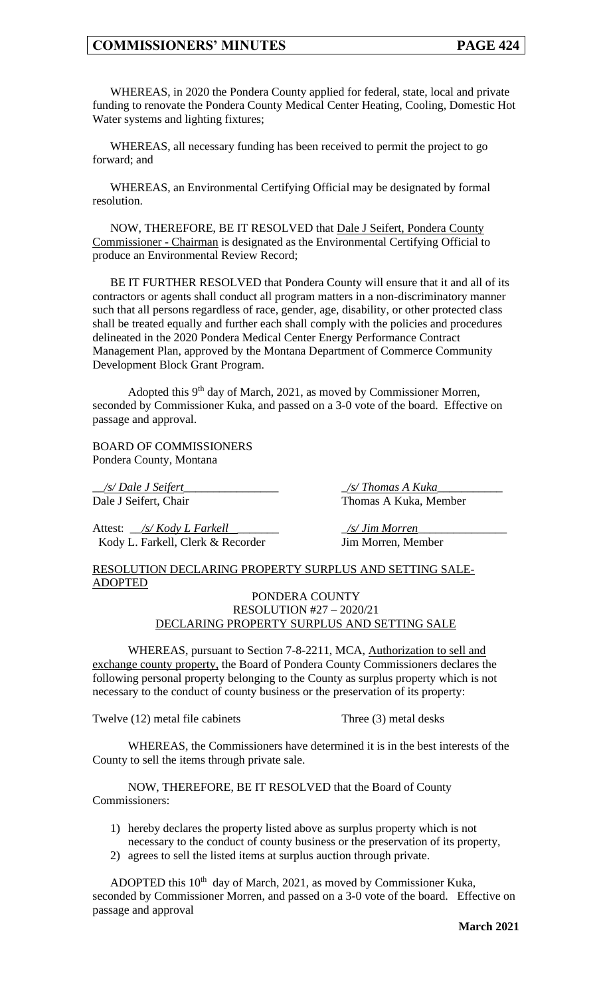WHEREAS, in 2020 the Pondera County applied for federal, state, local and private funding to renovate the Pondera County Medical Center Heating, Cooling, Domestic Hot Water systems and lighting fixtures;

WHEREAS, all necessary funding has been received to permit the project to go forward; and

WHEREAS, an Environmental Certifying Official may be designated by formal resolution.

NOW, THEREFORE, BE IT RESOLVED that Dale J Seifert, Pondera County Commissioner - Chairman is designated as the Environmental Certifying Official to produce an Environmental Review Record;

BE IT FURTHER RESOLVED that Pondera County will ensure that it and all of its contractors or agents shall conduct all program matters in a non-discriminatory manner such that all persons regardless of race, gender, age, disability, or other protected class shall be treated equally and further each shall comply with the policies and procedures delineated in the 2020 Pondera Medical Center Energy Performance Contract Management Plan, approved by the Montana Department of Commerce Community Development Block Grant Program.

Adopted this 9<sup>th</sup> day of March, 2021, as moved by Commissioner Morren, seconded by Commissioner Kuka, and passed on a 3-0 vote of the board. Effective on passage and approval.

BOARD OF COMMISSIONERS Pondera County, Montana

\_\_*/s/ Dale J Seifert*\_\_\_\_\_\_\_\_\_\_\_\_\_\_\_\_ \_*/s/ Thomas A Kuka*\_\_\_\_\_\_\_\_\_\_\_

Attest: \_\_*/s/ Kody L Farkell* \_\_\_\_\_\_\_ \_*/s/ Jim Morren*\_\_\_\_\_\_\_\_\_\_\_\_\_\_\_ Kody L. Farkell, Clerk & Recorder Jim Morren, Member

Dale J Seifert, Chair Thomas A Kuka, Member

RESOLUTION DECLARING PROPERTY SURPLUS AND SETTING SALE-ADOPTED

### PONDERA COUNTY RESOLUTION #27 – 2020/21 DECLARING PROPERTY SURPLUS AND SETTING SALE

WHEREAS, pursuant to Section 7-8-2211, MCA, Authorization to sell and exchange county property, the Board of Pondera County Commissioners declares the following personal property belonging to the County as surplus property which is not necessary to the conduct of county business or the preservation of its property:

Twelve (12) metal file cabinets Three (3) metal desks

WHEREAS, the Commissioners have determined it is in the best interests of the County to sell the items through private sale.

NOW, THEREFORE, BE IT RESOLVED that the Board of County Commissioners:

- 1) hereby declares the property listed above as surplus property which is not necessary to the conduct of county business or the preservation of its property,
- 2) agrees to sell the listed items at surplus auction through private.

ADOPTED this  $10<sup>th</sup>$  day of March, 2021, as moved by Commissioner Kuka, seconded by Commissioner Morren, and passed on a 3-0 vote of the board. Effective on passage and approval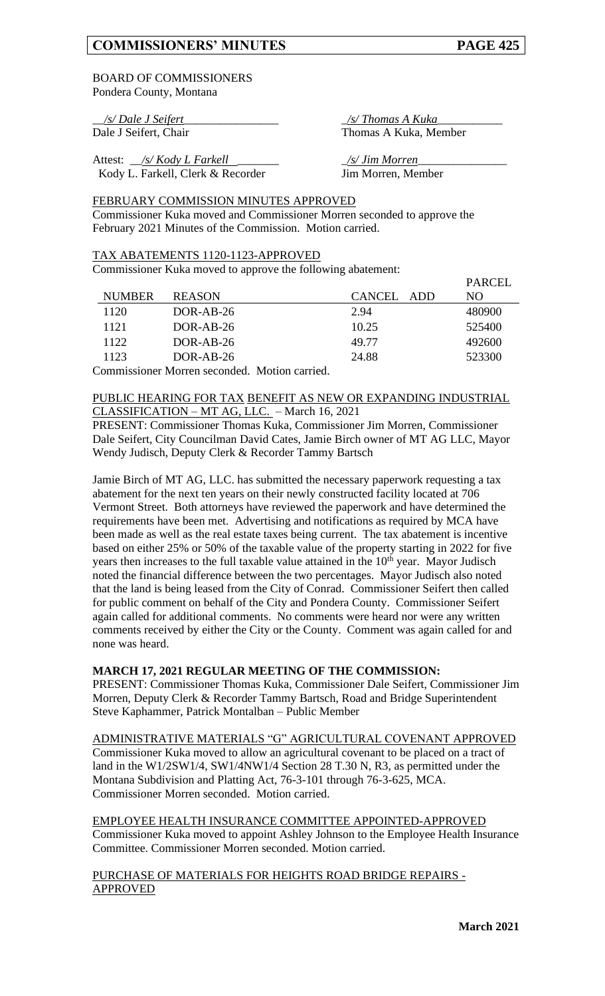$DADCH$ 

### BOARD OF COMMISSIONERS Pondera County, Montana

Attest: \_\_*/s/ Kody L Farkell* \_\_\_\_\_\_\_ \_*/s/ Jim Morren*\_\_\_\_\_\_\_\_\_\_\_\_\_\_\_ Kody L. Farkell, Clerk & Recorder Jim Morren, Member

\_\_*/s/ Dale J Seifert*\_\_\_\_\_\_\_\_\_\_\_\_\_\_\_\_ \_*/s/ Thomas A Kuka*\_\_\_\_\_\_\_\_\_\_\_ Dale J Seifert, Chair Thomas A Kuka, Member

FEBRUARY COMMISSION MINUTES APPROVED Commissioner Kuka moved and Commissioner Morren seconded to approve the February 2021 Minutes of the Commission. Motion carried.

### TAX ABATEMENTS 1120-1123-APPROVED

Commissioner Kuka moved to approve the following abatement:

|               |               |            | I ANCLL |
|---------------|---------------|------------|---------|
| <b>NUMBER</b> | <b>REASON</b> | CANCEL ADD | NO.     |
| 1120          | $DOR-AB-26$   | 2.94       | 480900  |
| 1121          | $DOR-AB-26$   | 10.25      | 525400  |
| 1122          | $DOR-AB-26$   | 49.77      | 492600  |
| 1123          | $DOR-AB-26$   | 24.88      | 523300  |
|               |               |            |         |

Commissioner Morren seconded. Motion carried.

PUBLIC HEARING FOR TAX BENEFIT AS NEW OR EXPANDING INDUSTRIAL CLASSIFICATION – MT AG, LLC. – March 16, 2021

PRESENT: Commissioner Thomas Kuka, Commissioner Jim Morren, Commissioner Dale Seifert, City Councilman David Cates, Jamie Birch owner of MT AG LLC, Mayor Wendy Judisch, Deputy Clerk & Recorder Tammy Bartsch

Jamie Birch of MT AG, LLC. has submitted the necessary paperwork requesting a tax abatement for the next ten years on their newly constructed facility located at 706 Vermont Street. Both attorneys have reviewed the paperwork and have determined the requirements have been met. Advertising and notifications as required by MCA have been made as well as the real estate taxes being current. The tax abatement is incentive based on either 25% or 50% of the taxable value of the property starting in 2022 for five years then increases to the full taxable value attained in the  $10<sup>th</sup>$  year. Mayor Judisch noted the financial difference between the two percentages. Mayor Judisch also noted that the land is being leased from the City of Conrad. Commissioner Seifert then called for public comment on behalf of the City and Pondera County. Commissioner Seifert again called for additional comments. No comments were heard nor were any written comments received by either the City or the County. Comment was again called for and none was heard.

## **MARCH 17, 2021 REGULAR MEETING OF THE COMMISSION:**

PRESENT: Commissioner Thomas Kuka, Commissioner Dale Seifert, Commissioner Jim Morren, Deputy Clerk & Recorder Tammy Bartsch, Road and Bridge Superintendent Steve Kaphammer, Patrick Montalban – Public Member

ADMINISTRATIVE MATERIALS "G" AGRICULTURAL COVENANT APPROVED Commissioner Kuka moved to allow an agricultural covenant to be placed on a tract of land in the W1/2SW1/4, SW1/4NW1/4 Section 28 T.30 N, R3, as permitted under the Montana Subdivision and Platting Act, 76-3-101 through 76-3-625, MCA. Commissioner Morren seconded. Motion carried.

EMPLOYEE HEALTH INSURANCE COMMITTEE APPOINTED-APPROVED Commissioner Kuka moved to appoint Ashley Johnson to the Employee Health Insurance Committee. Commissioner Morren seconded. Motion carried.

PURCHASE OF MATERIALS FOR HEIGHTS ROAD BRIDGE REPAIRS - APPROVED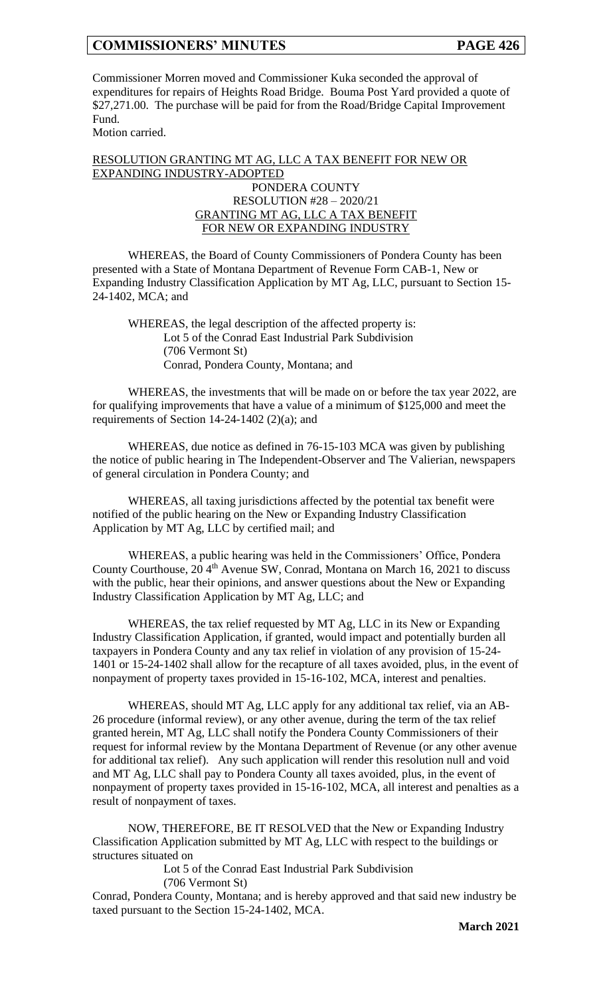Commissioner Morren moved and Commissioner Kuka seconded the approval of expenditures for repairs of Heights Road Bridge. Bouma Post Yard provided a quote of \$27,271.00. The purchase will be paid for from the Road/Bridge Capital Improvement Fund.

Motion carried.

# RESOLUTION GRANTING MT AG, LLC A TAX BENEFIT FOR NEW OR EXPANDING INDUSTRY-ADOPTED

### PONDERA COUNTY RESOLUTION #28 – 2020/21 GRANTING MT AG, LLC A TAX BENEFIT FOR NEW OR EXPANDING INDUSTRY

WHEREAS, the Board of County Commissioners of Pondera County has been presented with a State of Montana Department of Revenue Form CAB-1, New or Expanding Industry Classification Application by MT Ag, LLC, pursuant to Section 15- 24-1402, MCA; and

WHEREAS, the legal description of the affected property is: Lot 5 of the Conrad East Industrial Park Subdivision (706 Vermont St) Conrad, Pondera County, Montana; and

WHEREAS, the investments that will be made on or before the tax year 2022, are for qualifying improvements that have a value of a minimum of \$125,000 and meet the requirements of Section 14-24-1402 (2)(a); and

WHEREAS, due notice as defined in 76-15-103 MCA was given by publishing the notice of public hearing in The Independent-Observer and The Valierian, newspapers of general circulation in Pondera County; and

WHEREAS, all taxing jurisdictions affected by the potential tax benefit were notified of the public hearing on the New or Expanding Industry Classification Application by MT Ag, LLC by certified mail; and

WHEREAS, a public hearing was held in the Commissioners' Office, Pondera County Courthouse,  $20.4^{\text{th}}$  Avenue SW, Conrad, Montana on March 16, 2021 to discuss with the public, hear their opinions, and answer questions about the New or Expanding Industry Classification Application by MT Ag, LLC; and

WHEREAS, the tax relief requested by MT Ag, LLC in its New or Expanding Industry Classification Application, if granted, would impact and potentially burden all taxpayers in Pondera County and any tax relief in violation of any provision of 15-24- 1401 or 15-24-1402 shall allow for the recapture of all taxes avoided, plus, in the event of nonpayment of property taxes provided in 15-16-102, MCA, interest and penalties.

WHEREAS, should MT Ag, LLC apply for any additional tax relief, via an AB-26 procedure (informal review), or any other avenue, during the term of the tax relief granted herein, MT Ag, LLC shall notify the Pondera County Commissioners of their request for informal review by the Montana Department of Revenue (or any other avenue for additional tax relief). Any such application will render this resolution null and void and MT Ag, LLC shall pay to Pondera County all taxes avoided, plus, in the event of nonpayment of property taxes provided in 15-16-102, MCA, all interest and penalties as a result of nonpayment of taxes.

NOW, THEREFORE, BE IT RESOLVED that the New or Expanding Industry Classification Application submitted by MT Ag, LLC with respect to the buildings or structures situated on

Lot 5 of the Conrad East Industrial Park Subdivision (706 Vermont St)

Conrad, Pondera County, Montana; and is hereby approved and that said new industry be taxed pursuant to the Section 15-24-1402, MCA.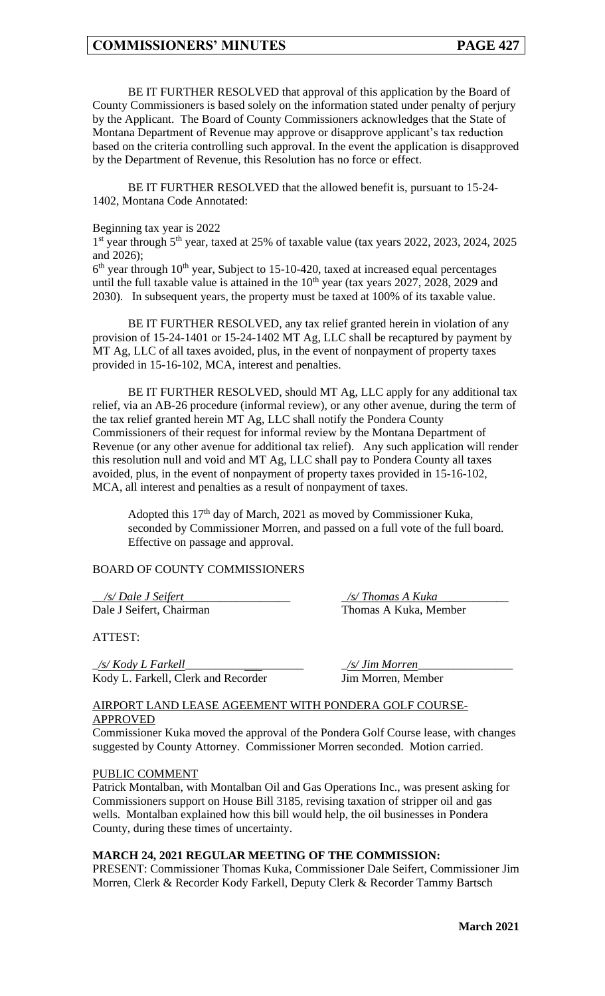BE IT FURTHER RESOLVED that approval of this application by the Board of County Commissioners is based solely on the information stated under penalty of perjury by the Applicant. The Board of County Commissioners acknowledges that the State of Montana Department of Revenue may approve or disapprove applicant's tax reduction based on the criteria controlling such approval. In the event the application is disapproved by the Department of Revenue, this Resolution has no force or effect.

BE IT FURTHER RESOLVED that the allowed benefit is, pursuant to 15-24- 1402, Montana Code Annotated:

#### Beginning tax year is 2022

1<sup>st</sup> year through 5<sup>th</sup> year, taxed at 25% of taxable value (tax years 2022, 2023, 2024, 2025 and 2026);

 $6<sup>th</sup>$  year through 10<sup>th</sup> year, Subject to 15-10-420, taxed at increased equal percentages until the full taxable value is attained in the  $10<sup>th</sup>$  year (tax years 2027, 2028, 2029 and 2030). In subsequent years, the property must be taxed at 100% of its taxable value.

BE IT FURTHER RESOLVED, any tax relief granted herein in violation of any provision of 15-24-1401 or 15-24-1402 MT Ag, LLC shall be recaptured by payment by MT Ag, LLC of all taxes avoided, plus, in the event of nonpayment of property taxes provided in 15-16-102, MCA, interest and penalties.

BE IT FURTHER RESOLVED, should MT Ag, LLC apply for any additional tax relief, via an AB-26 procedure (informal review), or any other avenue, during the term of the tax relief granted herein MT Ag, LLC shall notify the Pondera County Commissioners of their request for informal review by the Montana Department of Revenue (or any other avenue for additional tax relief). Any such application will render this resolution null and void and MT Ag, LLC shall pay to Pondera County all taxes avoided, plus, in the event of nonpayment of property taxes provided in 15-16-102, MCA, all interest and penalties as a result of nonpayment of taxes.

Adopted this  $17<sup>th</sup>$  day of March, 2021 as moved by Commissioner Kuka, seconded by Commissioner Morren, and passed on a full vote of the full board. Effective on passage and approval.

## BOARD OF COUNTY COMMISSIONERS

\_\_*/s/ Dale J Seifert*\_\_\_\_\_\_\_\_\_\_\_\_\_\_\_\_\_\_ \_*/s/ Thomas A Kuka*\_\_\_\_\_\_\_\_\_\_\_\_ Dale J Seifert, Chairman Thomas A Kuka, Member

ATTEST:

\_*/s/ Kody L Farkell*\_\_\_\_\_\_\_\_\_\_*\_\_\_*\_\_\_\_\_\_\_ \_*/s/ Jim Morren*\_\_\_\_\_\_\_\_\_\_\_\_\_\_\_\_ Kody L. Farkell, Clerk and Recorder Jim Morren, Member

### AIRPORT LAND LEASE AGEEMENT WITH PONDERA GOLF COURSE-APPROVED

Commissioner Kuka moved the approval of the Pondera Golf Course lease, with changes suggested by County Attorney. Commissioner Morren seconded. Motion carried.

### PUBLIC COMMENT

Patrick Montalban, with Montalban Oil and Gas Operations Inc., was present asking for Commissioners support on House Bill 3185, revising taxation of stripper oil and gas wells. Montalban explained how this bill would help, the oil businesses in Pondera County, during these times of uncertainty.

### **MARCH 24, 2021 REGULAR MEETING OF THE COMMISSION:**

PRESENT: Commissioner Thomas Kuka, Commissioner Dale Seifert, Commissioner Jim Morren, Clerk & Recorder Kody Farkell, Deputy Clerk & Recorder Tammy Bartsch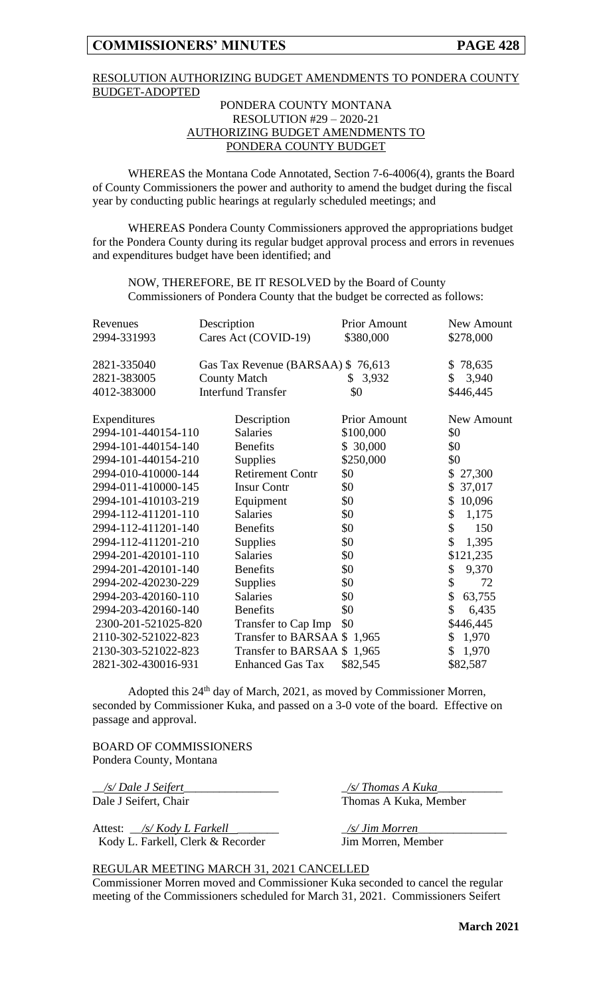## RESOLUTION AUTHORIZING BUDGET AMENDMENTS TO PONDERA COUNTY BUDGET-ADOPTED

### PONDERA COUNTY MONTANA RESOLUTION #29 – 2020-21 AUTHORIZING BUDGET AMENDMENTS TO PONDERA COUNTY BUDGET

WHEREAS the Montana Code Annotated, Section 7-6-4006(4), grants the Board of County Commissioners the power and authority to amend the budget during the fiscal year by conducting public hearings at regularly scheduled meetings; and

WHEREAS Pondera County Commissioners approved the appropriations budget for the Pondera County during its regular budget approval process and errors in revenues and expenditures budget have been identified; and

NOW, THEREFORE, BE IT RESOLVED by the Board of County Commissioners of Pondera County that the budget be corrected as follows:

| Revenues            | Description                       | <b>Prior Amount</b> | New Amount   |
|---------------------|-----------------------------------|---------------------|--------------|
| 2994-331993         | Cares Act (COVID-19)              | \$380,000           | \$278,000    |
|                     |                                   |                     |              |
| 2821-335040         | Gas Tax Revenue (BARSAA) \$76,613 |                     | 78,635<br>\$ |
| 2821-383005         | <b>County Match</b>               | 3,932<br>S.         | \$<br>3,940  |
| 4012-383000         | <b>Interfund Transfer</b>         | \$0                 | \$446,445    |
|                     |                                   |                     |              |
| Expenditures        | Description                       | <b>Prior Amount</b> | New Amount   |
| 2994-101-440154-110 | <b>Salaries</b>                   | \$100,000           | \$0          |
| 2994-101-440154-140 | <b>Benefits</b>                   | \$30,000            | \$0          |
| 2994-101-440154-210 | Supplies                          | \$250,000           | \$0          |
| 2994-010-410000-144 | <b>Retirement Contr</b>           | \$0                 | \$<br>27,300 |
| 2994-011-410000-145 | <b>Insur Contr</b>                | \$0                 | \$<br>37,017 |
| 2994-101-410103-219 | Equipment                         | \$0                 | 10,096<br>\$ |
| 2994-112-411201-110 | <b>Salaries</b>                   | \$0                 | \$<br>1,175  |
| 2994-112-411201-140 | <b>Benefits</b>                   | \$0                 | \$<br>150    |
| 2994-112-411201-210 | Supplies                          | \$0                 | \$<br>1,395  |
| 2994-201-420101-110 | <b>Salaries</b>                   | \$0                 | \$121,235    |
| 2994-201-420101-140 | <b>Benefits</b>                   | \$0                 | 9,370<br>\$  |
| 2994-202-420230-229 | Supplies                          | \$0                 | \$<br>72     |
| 2994-203-420160-110 | <b>Salaries</b>                   | \$0                 | \$<br>63,755 |
| 2994-203-420160-140 | <b>Benefits</b>                   | \$0                 | \$<br>6,435  |
| 2300-201-521025-820 | Transfer to Cap Imp               | \$0                 | \$446,445    |
| 2110-302-521022-823 | Transfer to BARSAA \$1,965        |                     | \$1,970      |
| 2130-303-521022-823 | Transfer to BARSAA \$1,965        |                     | \$<br>1,970  |
| 2821-302-430016-931 | <b>Enhanced Gas Tax</b>           | \$82,545            | \$82,587     |

Adopted this 24<sup>th</sup> day of March, 2021, as moved by Commissioner Morren, seconded by Commissioner Kuka, and passed on a 3-0 vote of the board. Effective on passage and approval.

BOARD OF COMMISSIONERS Pondera County, Montana

Attest: \_\_*/s/ Kody L Farkell* \_\_\_\_\_\_\_ \_*/s/ Jim Morren*\_\_\_\_\_\_\_\_\_\_\_\_\_\_\_ Kody L. Farkell, Clerk & Recorder Jim Morren, Member

\_\_*/s/ Dale J Seifert*\_\_\_\_\_\_\_\_\_\_\_\_\_\_\_\_ \_*/s/ Thomas A Kuka*\_\_\_\_\_\_\_\_\_\_\_ Dale J Seifert, Chair Thomas A Kuka, Member

#### REGULAR MEETING MARCH 31, 2021 CANCELLED

Commissioner Morren moved and Commissioner Kuka seconded to cancel the regular meeting of the Commissioners scheduled for March 31, 2021. Commissioners Seifert